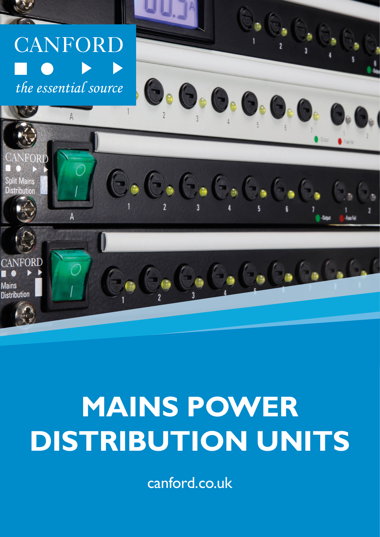

# **MAINS POWER DISTRIBUTION UNITS**

canford.co.uk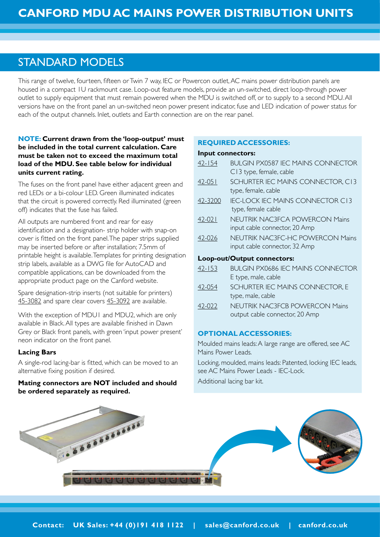# STANDARD MODELS

This range of twelve, fourteen, fifteen or Twin 7 way, IEC or Powercon outlet, AC mains power distribution panels are housed in a compact 1U rackmount case. Loop-out feature models, provide an un-switched, direct loop-through power outlet to supply equipment that must remain powered when the MDU is switched off, or to supply to a second MDU. All versions have on the front panel an un-switched neon power present indicator, fuse and LED indication of power status for each of the output channels. Inlet, outlets and Earth connection are on the rear panel.

# **NOTE: Current drawn from the 'loop-output' must be included in the total current calculation. Care must be taken not to exceed the maximum total load of the MDU. See table below for individual units current rating.**

The fuses on the front panel have either adjacent green and red LEDs or a bi-colour LED. Green illuminated indicates that the circuit is powered correctly. Red illuminated (green off) indicates that the fuse has failed.

All outputs are numbered front and rear for easy identification and a designation- strip holder with snap-on cover is fitted on the front panel. The paper strips supplied may be inserted before or after installation; 7.5mm of printable height is available. Templates for printing designation strip labels, available as a DWG file for AutoCAD and compatible applications, can be downloaded from the appropriate product page on the Canford website.

Spare designation-strip inserts (not suitable for printers) [45-3082](http://www.canford.co.uk/Products/45-3082) and spare clear covers [45-3092](http://www.canford.co.uk/Products/45-3092) are available.

With the exception of MDU1 and MDU2, which are only available in Black. All types are available finished in Dawn Grey or Black front panels, with green 'input power present' neon indicator on the front panel.

#### **Lacing Bars**

A single-rod lacing-bar is fitted, which can be moved to an alternative fixing position if desired.

## **Mating connectors are NOT included and should be ordered separately as required.**

# **REQUIRED ACCESSORIES:**

#### **Input connectors:**

| $42 - 154$ | BULGIN PX0587 IEC MAINS CONNECTOR<br>C13 type, female, cable             |
|------------|--------------------------------------------------------------------------|
| $42 - 051$ | SCHURTER IEC MAINS CONNECTOR, C13<br>type, female, cable                 |
| 42-3200    | <b>IEC-LOCK IEC MAINS CONNECTOR C13</b><br>type, female cable            |
| $42 - 021$ | <b>NEUTRIK NAC3FCA POWERCON Mains</b><br>input cable connector, 20 Amp   |
| 42-026     | <b>NEUTRIK NAC3FC-HC POWERCON Mains</b><br>input cable connector, 32 Amp |
|            | Loop-out/Output connectors:                                              |
| $42 - 153$ | BUI GIN PX0686 IFC MAINS CONNECTOR<br>E type, male, cable                |
| 42-054     | SCHURTER IEC MAINS CONNECTOR, E<br>type, male, cable                     |
| 42-022     | <b>NEUTRIK NAC3FCB POWERCON Mains</b><br>output cable connector, 20 Amp  |
|            |                                                                          |

#### **OPTIONAL ACCESSORIES:**

Moulded mains leads: A large range are offered, see AC Mains Power Leads.

Locking, moulded, mains leads: Patented, locking IEC leads, see AC Mains Power Leads - IEC-Lock.

Additional lacing bar kit.

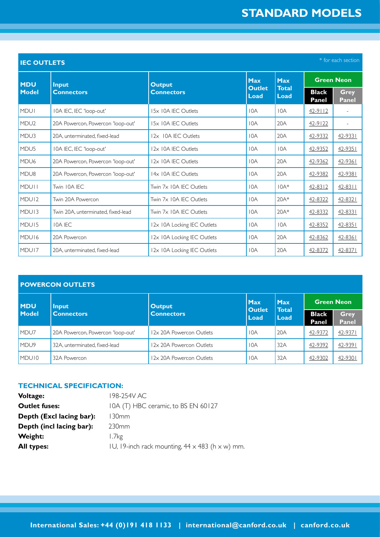| * for each section<br><b>IEC OUTLETS</b> |                                    |                                    |                       |                             |                       |                             |
|------------------------------------------|------------------------------------|------------------------------------|-----------------------|-----------------------------|-----------------------|-----------------------------|
| <b>MDU</b><br><b>Model</b>               | <b>Input</b><br><b>Connectors</b>  | <b>Output</b><br><b>Connectors</b> | <b>Max</b>            | <b>Max</b>                  | <b>Green Neon</b>     |                             |
|                                          |                                    |                                    | <b>Outlet</b><br>Load | <b>Total</b><br><b>Load</b> | <b>Black</b><br>Panel | <b>Grey</b><br><b>Panel</b> |
| <b>MDUI</b>                              | IOA IEC, IEC 'loop-out'            | 15x 10A IEC Outlets                | 10A                   | 10A                         | $42-9112$             |                             |
| MDU <sub>2</sub>                         | 20A Powercon, Powercon 'loop-out'  | 15x 10A IEC Outlets                | 10A                   | 20A                         | $42 - 9122$           |                             |
| MDU3                                     | 20A, unterminated, fixed-lead      | 12x 10A IEC Outlets                | 10A                   | 20A                         | 42-9332               | 42-9331                     |
| MDU <sub>5</sub>                         | 10A IEC, IEC 'loop-out'            | 12x 10A IEC Outlets                | 10A                   | 10A                         | 42-9352               | 42-9351                     |
| MDU <sub>6</sub>                         | 20A Powercon, Powercon 'loop-out'  | 12x 10A IEC Outlets                | 10A                   | 20A                         | 42-9362               | 42-9361                     |
| MDU8                                     | 20A Powercon, Powercon 'loop-out'  | 14x 10A IEC Outlets                | 10A                   | 20A                         | 42-9382               | 42-9381                     |
| <b>MDUII</b>                             | Twin 10A IEC                       | Twin 7x 10A IEC Outlets            | 10A                   | $10A*$                      | $42 - 8312$           | $42 - 8311$                 |
| MDU <sub>12</sub>                        | Twin 20A Powercon                  | Twin 7x 10A IEC Outlets            | 10A                   | 20A*                        | 42-8322               | $42 - 8321$                 |
| MDU <sub>13</sub>                        | Twin 20A, unterminated, fixed-lead | Twin 7x 10A IEC Outlets            | 10A                   | $20A*$                      | 42-8332               | 42-8331                     |
| MDU <sub>15</sub>                        | <b>IOA IEC</b>                     | 12x 10A Locking IEC Outlets        | 10A                   | 10A                         | 42-8352               | $42 - 8351$                 |
| MDU <sub>16</sub>                        | 20A Powercon                       | 12x 10A Locking IEC Outlets        | 10A                   | 20A                         | 42-8362               | 42-8361                     |
| MDU <sub>17</sub>                        | 20A, unterminated, fixed-lead      | 12x 10A Locking IEC Outlets        | 10A                   | 20A                         | 42-8372               | $42 - 8371$                 |

| <b>POWERCON OUTLETS</b>    |                                   |                          |                                     |                                    |                       |                             |  |
|----------------------------|-----------------------------------|--------------------------|-------------------------------------|------------------------------------|-----------------------|-----------------------------|--|
| <b>MDU</b><br><b>Model</b> | Input<br><b>Connectors</b>        | <b>Output</b>            | <b>Max</b><br><b>Outlet</b><br>Load | <b>Max</b><br><b>Total</b><br>Load | <b>Green Neon</b>     |                             |  |
|                            |                                   | <b>Connectors</b>        |                                     |                                    | <b>Black</b><br>Panel | <b>Grey</b><br><b>Panel</b> |  |
| MDU7                       | 20A Powercon, Powercon 'loop-out' | 12x 20A Powercon Outlets | 10A                                 | 20A                                | 42-9372               | 42-9371                     |  |
| MDU <sub>9</sub>           | 32A, unterminated, fixed-lead     | 12x 20A Powercon Outlets | 10A                                 | 32A                                | 42-9392               | 42-9391                     |  |
| MDU <sub>10</sub>          | 32A Powercon                      | 12x 20A Powercon Outlets | 10A                                 | 32A                                | 42-9302               | 42-9301                     |  |

# **TECHNICAL SPECIFICATION:**

| <b>Voltage:</b>          | 198-254V AC                                                   |
|--------------------------|---------------------------------------------------------------|
| <b>Outlet fuses:</b>     | IOA (T) HBC ceramic, to BS EN 60127                           |
| Depth (Excl lacing bar): | l 30mm                                                        |
| Depth (incl lacing bar): | 230 <sub>mm</sub>                                             |
| Weight:                  | 1.7 <sub>kg</sub>                                             |
| <b>All types:</b>        | IU, 19-inch rack mounting, $44 \times 483$ (h $\times$ w) mm. |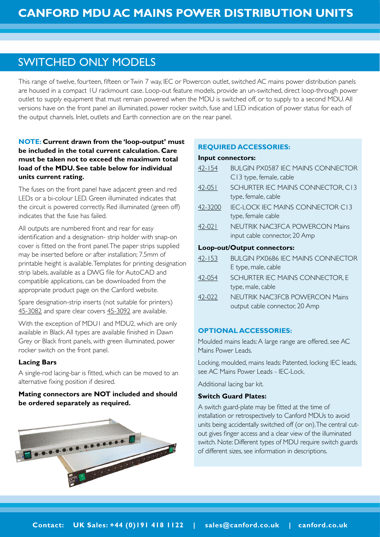# SWITCHED ONLY MODELS

This range of twelve, fourteen, fifteen or Twin 7 way, IEC or Powercon outlet, switched AC mains power distribution panels are housed in a compact 1U rackmount case. Loop-out feature models, provide an un-switched, direct loop-through power outlet to supply equipment that must remain powered when the MDU is switched off, or to supply to a second MDU. All versions have on the front panel an illuminated, power rocker switch, fuse and LED indication of power status for each of the output channels. Inlet, outlets and Earth connection are on the rear panel.

# **NOTE: Current drawn from the 'loop-output' must be included in the total current calculation. Care must be taken not to exceed the maximum total load of the MDU. See table below for individual units current rating.**

The fuses on the front panel have adjacent green and red LEDs or a bi-colour LED. Green illuminated indicates that the circuit is powered correctly. Red illuminated (green off) indicates that the fuse has failed.

All outputs are numbered front and rear for easy identification and a designation- strip holder with snap-on cover is fitted on the front panel. The paper strips supplied may be inserted before or after installation; 7.5mm of printable height is available. Templates for printing designation strip labels, available as a DWG file for AutoCAD and compatible applications, can be downloaded from the appropriate product page on the Canford website.

Spare designation-strip inserts (not suitable for printers) [45-3082](http://www.canford.co.uk/Products/45-3082) and spare clear covers [45-3092](http://www.canford.co.uk/Products/45-3092) are available.

With the exception of MDU1 and MDU2, which are only available in Black. All types are available finished in Dawn Grey or Black front panels, with green illuminated, power rocker switch on the front panel.

#### **Lacing Bars**

A single-rod lacing-bar is fitted, which can be moved to an alternative fixing position if desired.

# **Mating connectors are NOT included and should be ordered separately as required.**



# **REQUIRED ACCESSORIES:**

#### **Input connectors:**

| $42 - 154$ | BULGIN PX0587 IEC MAINS CONNECTOR     |
|------------|---------------------------------------|
|            | C13 type, female, cable               |
| $42 - 051$ | SCHURTER IEC MAINS CONNECTOR, C13     |
|            | type, female, cable                   |
| 42-3200    | IFC-LOCK IFC MAINS CONNECTOR CL3      |
|            | type, female cable                    |
| $42 - 021$ | <b>NEUTRIK NAC3FCA POWERCON Mains</b> |
|            | input cable connector, 20 Amp         |
|            | Loop-out/Output connectors:           |
| $42 - 153$ | BUI GIN PX0686 IFC MAINS CONNECTOR    |
|            | E type, male, cable                   |
| 42-054     | SCHURTER IEC MAINS CONNECTOR, E       |
|            | type, male, cable                     |
| $42-02$    | <b>NEUTRIK NAC3FCB POWERCON Mains</b> |

# **OPTIONAL ACCESSORIES:**

Moulded mains leads: A large range are offered, see AC Mains Power Leads.

output cable connector, 20 Amp

Locking, moulded, mains leads: Patented, locking IEC leads, see AC Mains Power Leads - IEC-Lock.

Additional lacing bar kit.

#### **Switch Guard Plates:**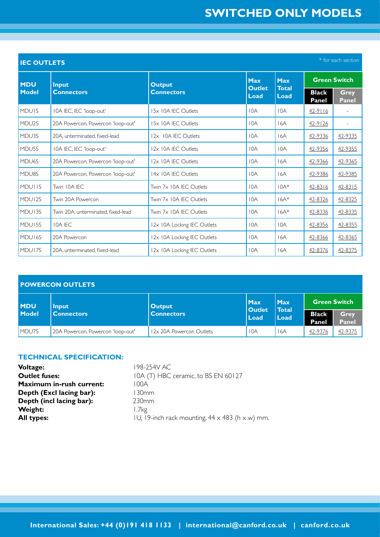| * for each section<br><b>IEC OUTLETS</b> |                                    |                             |                       |                             |                              |                             |  |
|------------------------------------------|------------------------------------|-----------------------------|-----------------------|-----------------------------|------------------------------|-----------------------------|--|
| <b>MDU</b><br>Model                      | Input<br><b>Connectors</b>         | <b>Output</b>               | Max                   | <b>Max</b>                  | <b>Green Switch</b>          |                             |  |
|                                          |                                    | <b>Connectors</b>           | <b>Outlet</b><br>Load | <b>Total</b><br><b>Load</b> | <b>Black</b><br><b>Panel</b> | <b>Grey</b><br><b>Panel</b> |  |
| <b>MDUIS</b>                             | 10A IEC, IEC 'loop-out'            | 15x 10A IEC Outlets         | 10A                   | 10A                         | $42 - 9116$                  |                             |  |
| MDU <sub>2S</sub>                        | 20A Powercon, Powercon 'loop-out'  | 15x 10A IEC Outlets         | 10A                   | 16A                         | $42 - 9126$                  |                             |  |
| MDU3S                                    | 20A, unterminated, fixed-lead      | 12x 10A IEC Outlets         | 10A                   | 16A                         | 42-9336                      | 42-9335                     |  |
| MDU <sub>5</sub> S                       | 10A IEC, IEC 'loop-out'            | 12x 10A IEC Outlets         | 10A                   | 10A                         | 42-9356                      | 42-9355                     |  |
| MDU <sub>6</sub> S                       | 20A Powercon, Powercon 'loop-out'  | 12x 10A IEC Outlets         | 10A                   | 16A                         | 42-9366                      | 42-9365                     |  |
| MDU8S                                    | 20A Powercon, Powercon 'loop-out'  | 14x 10A IEC Outlets         | 10A                   | 16A                         | 42-9386                      | 42-9385                     |  |
| <b>MDUTIS</b>                            | Twin 10A IEC                       | Twin 7x 10A IEC Outlets     | 10A                   | $10A*$                      | 42-8316                      | $42 - 8315$                 |  |
| MDU <sub>12S</sub>                       | Twin 20A Powercon                  | Twin 7x 10A IEC Outlets     | 10A                   | $16A*$                      | 42-8326                      | 42-8325                     |  |
| MDU13S                                   | Twin 20A, unterminated, fixed-lead | Twin 7x 10A IFC Outlets     | 10A                   | $16A*$                      | 42-8336                      | 42-8335                     |  |
| MDU <sub>15S</sub>                       | <b>IOA IEC</b>                     | 12x 10A Locking IEC Outlets | 10A                   | 10A                         | 42-8356                      | 42-8355                     |  |
| MDU <sub>16S</sub>                       | 20A Powercon                       | 12x 10A Locking IEC Outlets | 10A                   | 16A                         | 42-8366                      | 42-8365                     |  |
| MDU17S                                   | 20A, unterminated, fixed-lead      | 12x 10A Locking IEC Outlets | 10A                   | 16A                         | 42-8376                      | 42-8375                     |  |

| <b>POWERCON OUTLETS</b> |                                   |                          |                                       |                                    |                       |                             |  |
|-------------------------|-----------------------------------|--------------------------|---------------------------------------|------------------------------------|-----------------------|-----------------------------|--|
| <b>MDU</b><br>Model     | Input                             | <b>Output</b>            | <b>Max</b><br><b>Outlet</b><br>l Load | <b>Max</b><br><b>Total</b><br>Load | <b>Green Switch</b>   |                             |  |
|                         | <b>Connectors</b>                 | <b>Connectors</b>        |                                       |                                    | <b>Black</b><br>Panel | <b>Grey</b><br><b>Panel</b> |  |
| MDU7S                   | 20A Powercon, Powercon 'loop-out' | 12x 20A Powercon Outlets | 10A                                   | 16A                                | 42-9376               | 42-9375                     |  |

#### **TECHNICAL SPECIFICATION:**

| <b>Voltage:</b>                 | 198-254V AC.                                                  |
|---------------------------------|---------------------------------------------------------------|
| <b>Outlet fuses:</b>            | 10A (T) HBC ceramic, to BS EN 60127                           |
| <b>Maximum in-rush current:</b> | 100A                                                          |
| Depth (Excl lacing bar):        | l 30mm                                                        |
| Depth (incl lacing bar):        | 230 <sub>mm</sub>                                             |
| Weight:                         | 1.7k <sub>2</sub>                                             |
| <b>All types:</b>               | IU, 19-inch rack mounting, $44 \times 483$ (h $\times$ w) mm. |

**Contact: UK Sales: +44 (0)191 418 1122 | sales@canford.co.uk | canford.co.uk International Sales: +44 (0)191 418 1133 | international@canford.co.uk | canford.co.uk**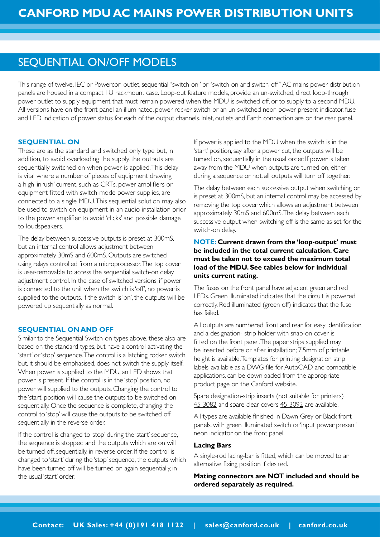# SEQUENTIAL ON/OFF MODELS

This range of twelve, IEC or Powercon outlet, sequential "switch-on" or "switch-on and switch-off" AC mains power distribution panels are housed in a compact 1U rackmount case. Loop-out feature models, provide an un-switched, direct loop-through power outlet to supply equipment that must remain powered when the MDU is switched off, or to supply to a second MDU. All versions have on the front panel an illuminated, power rocker switch or an un-switched neon power present indicator, fuse and LED indication of power status for each of the output channels. Inlet, outlets and Earth connection are on the rear panel.

#### **SEQUENTIAL ON**

These are as the standard and switched only type but, in addition, to avoid overloading the supply, the outputs are sequentially switched on when power is applied. This delay is vital where a number of pieces of equipment drawing a high 'inrush' current, such as CRTs, power amplifiers or equipment fitted with switch-mode power supplies, are connected to a single MDU. This sequential solution may also be used to switch on equipment in an audio installation prior to the power amplifier to avoid 'clicks' and possible damage to loudspeakers.

The delay between successive outputs is preset at 300mS, but an internal control allows adjustment between approximately 30mS and 600mS. Outputs are switched using relays controlled from a microprocessor. The top cover is user-removable to access the sequential switch-on delay adjustment control. In the case of switched versions, if power is connected to the unit when the switch is 'off', no power is supplied to the outputs. If the switch is 'on', the outputs will be powered up sequentially as normal.

#### **SEQUENTIAL ON AND OFF**

Similar to the Sequential Switch-on types above, these also are based on the standard types, but have a control activating the 'start' or 'stop' sequence. The control is a latching rocker switch, but, it should be emphasised, does not switch the supply itself. When power is supplied to the MDU, an LED shows that power is present. If the control is in the 'stop' position, no power will supplied to the outputs. Changing the control to the 'start' position will cause the outputs to be switched on sequentially. Once the sequence is complete, changing the control to 'stop' will cause the outputs to be switched off sequentially in the reverse order.

If the control is changed to 'stop' during the 'start' sequence, the sequence is stopped and the outputs which are on will be turned off, sequentially, in reverse order. If the control is changed to 'start' during the 'stop' sequence, the outputs which have been turned off will be turned on again sequentially, in the usual 'start' order.

If power is applied to the MDU when the switch is in the 'start' position, say after a power cut, the outputs will be turned on, sequentially, in the usual order. If power is taken away from the MDU when outputs are turned on, either during a sequence or not, all outputs will turn off together.

The delay between each successive output when switching on is preset at 300mS, but an internal control may be accessed by removing the top cover which allows an adjustment between approximately 30mS and 600mS. The delay between each successive output when switching off is the same as set for the switch-on delay.

## **NOTE: Current drawn from the 'loop-output' must be included in the total current calculation. Care must be taken not to exceed the maximum total load of the MDU. See tables below for individual units current rating.**

The fuses on the front panel have adjacent green and red LEDs. Green illuminated indicates that the circuit is powered correctly. Red illuminated (green off) indicates that the fuse has failed.

All outputs are numbered front and rear for easy identification and a designation- strip holder with snap-on cover is fitted on the front panel. The paper strips supplied may be inserted before or after installation; 7.5mm of printable height is available. Templates for printing designation strip labels, available as a DWG file for AutoCAD and compatible applications, can be downloaded from the appropriate product page on the Canford website.

Spare designation-strip inserts (not suitable for printers) [45-3082](http://www.canford.co.uk/Products/45-3082) and spare clear covers [45-3092](http://www.canford.co.uk/Products/45-3092) are available.

All types are available finished in Dawn Grey or Black front panels, with green illuminated switch or 'input power present' neon indicator on the front panel.

#### **Lacing Bars**

A single-rod lacing-bar is fitted, which can be moved to an alternative fixing position if desired.

**Mating connectors are NOT included and should be ordered separately as required.**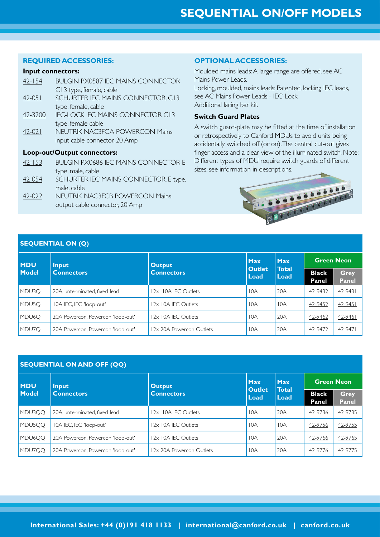#### **REQUIRED ACCESSORIES:**

#### **Input connectors:**

| $42 - 154$ | BUI GIN PX0587 IFC MAINS CONNECTOR         |
|------------|--------------------------------------------|
|            | C13 type, female, cable                    |
| $42 - 051$ | <b>SCHURTER IEC MAINS CONNECTOR, C13</b>   |
|            | type, female, cable                        |
| 42-3200    | <b>IEC-LOCK IEC MAINS CONNECTOR C13</b>    |
|            | type, female cable                         |
| $42 - 021$ | <b>NEUTRIK NAC3FCA POWERCON Mains</b>      |
|            | input cable connector, 20 Amp              |
|            | Loop-out/Output connectors:                |
| $42 - 153$ | <b>BULGIN PX0686 IEC MAINS CONNECTOR E</b> |
|            | type, male, cable                          |
| 42-054     | SCHURTER IEC MAINS CONNECTOR, E type,      |
|            | male, cable                                |

[42-022](http://www.canford.co.uk/Products/42-022) NEUTRIK NAC3FCB POWERCON Mains output cable connector, 20 Amp

#### **OPTIONAL ACCESSORIES:**

Moulded mains leads: A large range are offered, see AC Mains Power Leads. Locking, moulded, mains leads: Patented, locking IEC leads, see AC Mains Power Leads - IEC-Lock. Additional lacing bar kit.

## **Switch Guard Plates**

A switch guard-plate may be fitted at the time of installation or retrospectively to Canford MDUs to avoid units being accidentally switched off (or on). The central cut-out gives finger access and a clear view of the illuminated switch. Note: Different types of MDU require switch guards of different sizes, see information in descriptions.



# **SEQUENTIAL ON (Q)**

| <b>MDU</b><br><b>Model</b> | Input                             | <b>Output</b>            | <b>Max</b>            | <b>Max</b>           | <b>Green Neon</b>     |                             |
|----------------------------|-----------------------------------|--------------------------|-----------------------|----------------------|-----------------------|-----------------------------|
|                            | <b>Connectors</b>                 | <b>Connectors</b>        | <b>Outlet</b><br>Load | <b>Total</b><br>Load | <b>Black</b><br>Panel | <b>Grey</b><br><b>Panel</b> |
| MDU3O                      | 20A, unterminated, fixed-lead     | 12x 10A IEC Outlets      | 10A                   | 20A                  | 42-9432               | 42-9431                     |
| MDU5O                      | 10A IEC, IEC 'loop-out'           | 12x 10A IEC Outlets      | 10A                   | 10A                  | 42-9452               | 42-9451                     |
| MDU6O                      | 20A Powercon, Powercon 'loop-out' | 12x 10A IEC Outlets      | 10A                   | 20A                  | 42-9462               | 42-9461                     |
| MDU7O                      | 20A Powercon, Powercon 'loop-out' | 12x 20A Powercon Outlets | 10A                   | 20A                  | 42-9472               | 42-9471                     |

|  | <b>SEQUENTIAL ON AND OFF (QQ)</b> |  |  |
|--|-----------------------------------|--|--|
|  |                                   |  |  |

| <b>MDU</b><br>Model | <b>Input</b>                      | <b>Output</b>            | <b>Max</b>            | <b>Max</b><br><b>Total</b><br>Load | <b>Green Neon</b>     |                      |
|---------------------|-----------------------------------|--------------------------|-----------------------|------------------------------------|-----------------------|----------------------|
|                     | <b>Connectors</b>                 | <b>Connectors</b>        | <b>Outlet</b><br>Load |                                    | <b>Black</b><br>Panel | Grey<br><b>Panel</b> |
| MDU3OO              | 20A, unterminated, fixed-lead     | 12x 10A IEC Outlets      | 10A                   | 20A                                | 42-9736               | 42-9735              |
| MDU5OO              | 10A IEC, IEC 'loop-out'           | 12x 10A IEC Outlets      | 10A                   | 10A                                | 42-9756               | 42-9755              |
| MDU <sub>6</sub> OO | 20A Powercon, Powercon 'loop-out' | 12x 10A IEC Outlets      | 10A                   | 20A                                | 42-9766               | 42-9765              |
| MDU7OO              | 20A Powercon, Powercon 'loop-out' | 12x 20A Powercon Outlets | 10A                   | 20A                                | 42-9776               | 42-9775              |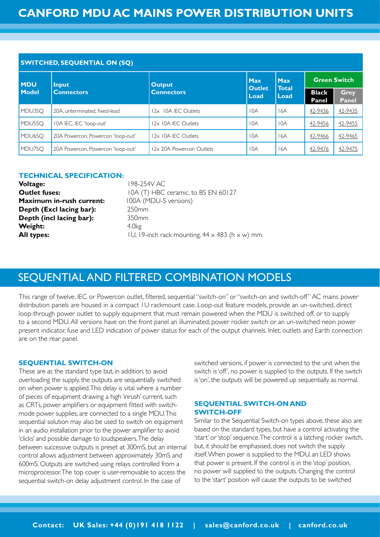| <b>SWITCHED, SEQUENTIAL ON (SQ)</b> |                                   |                          |                       |                      |                       |                      |  |
|-------------------------------------|-----------------------------------|--------------------------|-----------------------|----------------------|-----------------------|----------------------|--|
| <b>MDU</b>                          | <b>Input</b>                      | <b>Output</b>            | <b>Max</b>            | <b>Max</b>           | <b>Green Switch</b>   |                      |  |
| <b>Model</b>                        | <b>Connectors</b>                 | <b>Connectors</b>        | <b>Outlet</b><br>Load | <b>Total</b><br>Load | <b>Black</b><br>Panel | Grey<br><b>Panel</b> |  |
| MDU3SO                              | 20A, unterminated, fixed-lead     | 12x 10A IEC Outlets      | 10A                   | 16A                  | 42-9436               | 42-9435              |  |
| MDU5SO                              | 10A IEC, IEC 'loop-out'           | 12x 10A IEC Outlets      | 10A                   | 10A                  | 42-9456               | 42-9455              |  |
| MDU <sub>6</sub> SQ                 | 20A Powercon, Powercon 'loop-out' | 12x 10A IEC Outlets      | 10A                   | 16A                  | 42-9466               | 42-9465              |  |
| MDU7SO                              | 20A Powercon, Powercon 'loop-out' | 12x 20A Powercon Outlets | 10A                   | 16A                  | 42-9476               | 42-9475              |  |

#### **TECHNICAL SPECIFICATION:**

| Voltage:                 | 198-254V AC.                                                  |
|--------------------------|---------------------------------------------------------------|
| <b>Outlet fuses:</b>     | 10A (T) HBC ceramic, to BS EN 60127                           |
| Maximum in-rush current: | 100A (MDU-S versions)                                         |
| Depth (Excl lacing bar): | 250 <sub>mm</sub>                                             |
| Depth (incl lacing bar): | 350 <sub>mm</sub>                                             |
| Weight:                  | 4.0kg                                                         |
| All types:               | IU, 19-inch rack mounting, $44 \times 483$ (h $\times$ w) mm. |
|                          |                                                               |

# SEQUENTIAL AND FILTERED COMBINATION MODELS

This range of twelve, IEC or Powercon outlet, filtered, sequential "switch-on" or "switch-on and switch-off" AC mains power distribution panels are housed in a compact 1U rackmount case. Loop-out feature models, provide an un-switched, direct loop-through power outlet to supply equipment that must remain powered when the MDU is switched off, or to supply to a second MDU. All versions have on the front panel an illuminated, power rocker switch or an un-switched neon power present indicator, fuse and LED indication of power status for each of the output channels. Inlet, outlets and Earth connection are on the rear panel.

#### **SEQUENTIAL SWITCH-ON**

These are as the standard type but, in addition, to avoid overloading the supply, the outputs are sequentially switched on when power is applied. This delay is vital where a number of pieces of equipment drawing a high 'inrush' current, such as CRTs, power amplifiers or equipment fitted with switchmode power supplies, are connected to a single MDU. This sequential solution may also be used to switch on equipment in an audio installation prior to the power amplifier to avoid 'clicks' and possible damage to loudspeakers. The delay between successive outputs is preset at 300mS, but an internal control allows adjustment between approximately 30mS and 600mS. Outputs are switched using relays controlled from a microprocessor. The top cover is user-removable to access the sequential switch-on delay adjustment control. In the case of

switched versions, if power is connected to the unit when the switch is 'off', no power is supplied to the outputs. If the switch is 'on', the outputs will be powered up sequentially as normal.

# **SEQUENTIAL SWITCH-ON AND SWITCH-OFF**

Similar to the Sequential Switch-on types above, these also are based on the standard types, but have a control activating the 'start' or 'stop' sequence. The control is a latching rocker switch, but, it should be emphasised, does not switch the supply itself. When power is supplied to the MDU, an LED shows that power is present. If the control is in the 'stop' position, no power will supplied to the outputs. Changing the control to the 'start' position will cause the outputs to be switched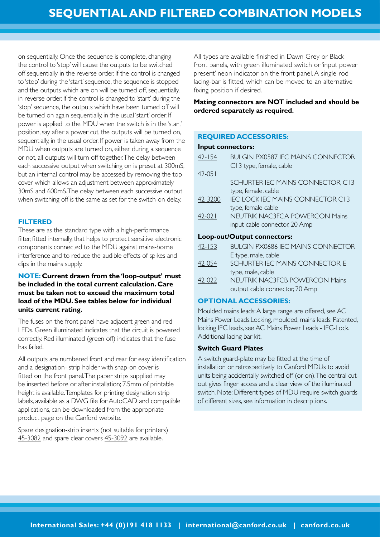on sequentially. Once the sequence is complete, changing the control to 'stop' will cause the outputs to be switched off sequentially in the reverse order. If the control is changed to 'stop' during the 'start' sequence, the sequence is stopped and the outputs which are on will be turned off, sequentially, in reverse order. If the control is changed to 'start' during the 'stop' sequence, the outputs which have been turned off will be turned on again sequentially, in the usual 'start' order. If power is applied to the MDU when the switch is in the 'start' position, say after a power cut, the outputs will be turned on, sequentially, in the usual order. If power is taken away from the MDU when outputs are turned on, either during a sequence or not, all outputs will turn off together. The delay between each successive output when switching on is preset at 300mS, but an internal control may be accessed by removing the top cover which allows an adjustment between approximately 30mS and 600mS. The delay between each successive output when switching off is the same as set for the switch-on delay.

#### **FILTERED**

These are as the standard type with a high-performance filter, fitted internally, that helps to protect sensitive electronic components connected to the MDU against mains-borne interference and to reduce the audible effects of spikes and dips in the mains supply.

# **NOTE: Current drawn from the 'loop-output' must be included in the total current calculation. Care must be taken not to exceed the maximum total load of the MDU. See tables below for individual units current rating.**

The fuses on the front panel have adjacent green and red LEDs. Green illuminated indicates that the circuit is powered correctly. Red illuminated (green off) indicates that the fuse has failed.

All outputs are numbered front and rear for easy identification and a designation- strip holder with snap-on cover is fitted on the front panel. The paper strips supplied may be inserted before or after installation; 7.5mm of printable height is available. Templates for printing designation strip labels, available as a DWG file for AutoCAD and compatible applications, can be downloaded from the appropriate product page on the Canford website.

Spare designation-strip inserts (not suitable for printers) [45-3082](http://www.canford.co.uk/Products/45-3082) and spare clear covers [45-3092](http://www.canford.co.uk/Products/45-3092) are available.

All types are available finished in Dawn Grey or Black front panels, with green illuminated switch or 'input power present' neon indicator on the front panel. A single-rod lacing-bar is fitted, which can be moved to an alternative fixing position if desired.

# **Mating connectors are NOT included and should be ordered separately as required.**

## **REQUIRED ACCESSORIES:**

#### **Input connectors:**

| $42 - 154$ | BULGIN PX0587 IEC MAINS CONNECTOR<br>C13 type, female, cable |
|------------|--------------------------------------------------------------|
| $42 - 051$ |                                                              |
|            | SCHURTER IEC MAINS CONNECTOR, C13                            |
|            | type, female, cable                                          |
| 42-3200    | IFC-LOCK IFC MAINS CONNECTOR CL3                             |
|            | type, female cable                                           |
| $42 - 021$ | <b>NEUTRIK NAC3FCA POWERCON Mains</b>                        |
|            | input cable connector, 20 Amp                                |
|            | Loop-out/Output connectors:                                  |
| $42 - 153$ | BUI GIN PX0686 IFC MAINS CONNECTOR                           |
|            | E type, male, cable                                          |
| 42-054     | SCHURTER IEC MAINS CONNECTOR, E                              |
|            | type, male, cable                                            |

[42-022](http://www.canford.co.uk/Products/42-022) NEUTRIK NAC3FCB POWERCON Mains output cable connector, 20 Amp

# **OPTIONAL ACCESSORIES:**

Moulded mains leads: A large range are offered, see AC Mains Power Leads.Locking, moulded, mains leads: Patented, locking IEC leads, see AC Mains Power Leads - IEC-Lock. Additional lacing bar kit.

#### **Switch Guard Plates**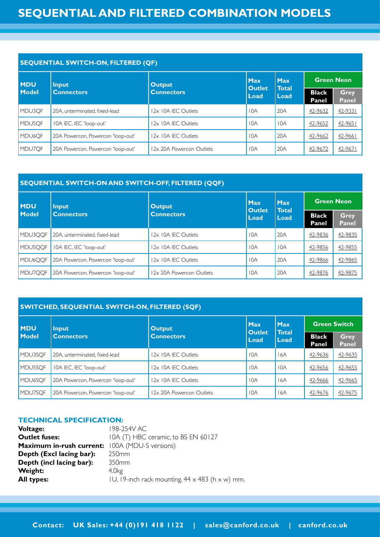| <b>SEQUENTIAL SWITCH-ON, FILTERED (QF)</b> |                                   |                          |                       |                                    |                       |                             |  |
|--------------------------------------------|-----------------------------------|--------------------------|-----------------------|------------------------------------|-----------------------|-----------------------------|--|
| <b>MDU</b>                                 | Input                             | <b>Output</b>            | <b>Max</b>            | <b>Max</b><br><b>Total</b><br>Load | <b>Green Neon</b>     |                             |  |
| <b>Model</b>                               | <b>Connectors</b>                 | <b>Connectors</b>        | <b>Outlet</b><br>Load |                                    | <b>Black</b><br>Panel | <b>Grey</b><br><b>Panel</b> |  |
| MDU3OF                                     | 20A. unterminated. fixed-lead     | 12x 10A IEC Outlets      | 10A                   | 20A                                | 42-9632               | 42-9331                     |  |
| MDU5OF                                     | 10A IEC, IEC 'loop-out'           | 12x 10A IEC Outlets      | 10A                   | 10A                                | 42-9652               | $42 - 9651$                 |  |
| MDU <sub>6QF</sub>                         | 20A Powercon, Powercon 'loop-out' | 12x 10A IEC Outlets      | 10A                   | 20A                                | 42-9662               | 42-9661                     |  |
| MDU7OF                                     | 20A Powercon, Powercon 'loop-out' | 12x 20A Powercon Outlets | 10A                   | 20A                                | 42-9672               | $42 - 9671$                 |  |

## **SEQUENTIAL SWITCH-ON AND SWITCH-OFF, FILTERED (QQF)**

| <b>MDU</b>   | <b>Input</b>                      | <b>Output</b>            | <b>Max</b>                                    | <b>Max</b> | <b>Green Neon</b>     |                      |
|--------------|-----------------------------------|--------------------------|-----------------------------------------------|------------|-----------------------|----------------------|
| <b>Model</b> | <b>Connectors</b>                 | <b>Connectors</b>        | <b>Outlet</b><br><b>Total</b><br>Load<br>Load |            | <b>Black</b><br>Panel | Grey<br><b>Panel</b> |
| MDU3QQF      | 20A, unterminated, fixed-lead     | 12x 10A IEC Outlets      | 10A                                           | 20A        | 42-9836               | 42-9835              |
| MDU5OOF      | 10A IEC, IEC 'loop-out'           | 12x 10A IEC Outlets      | 10A                                           | 10A        | 42-9856               | 42-9855              |
| MDU6OOF      | 20A Powercon, Powercon 'loop-out' | 12x 10A IEC Outlets      | 10A                                           | 20A        | 42-9866               | 42-9865              |
| MDU7OOF      | 20A Powercon, Powercon 'loop-out' | 12x 20A Powercon Outlets | 10A                                           | 20A        | 42-9876               | 42-9875              |

# **SWITCHED, SEQUENTIAL SWITCH-ON, FILTERED (SQF)**

| <b>MDU</b>           | <b>Input</b>                      | <b>Output</b>            | <b>Max</b>     | <b>Max</b><br><b>Total</b> | <b>Green Switch</b>   |                             |
|----------------------|-----------------------------------|--------------------------|----------------|----------------------------|-----------------------|-----------------------------|
| Model                | <b>Connectors</b>                 | <b>Connectors</b>        | Outlet<br>Load | Load                       | <b>Black</b><br>Panel | <b>Grey</b><br><b>Panel</b> |
| MDU3SOF              | 20A, unterminated, fixed-lead     | 12x 10A IEC Outlets      | 10A            | 16A                        | 42-9636               | 42-9635                     |
| MDU5SOF              | 10A IEC, IEC 'loop-out'           | 12x 10A IEC Outlets      | 10A            | 10A                        | 42-9656               | 42-9655                     |
| MDU <sub>6</sub> SOF | 20A Powercon, Powercon 'loop-out' | 12x 10A IEC Outlets      | 10A            | 16A                        | 42-9666               | 42-9665                     |
| MDU7SOF              | 20A Powercon, Powercon 'loop-out' | 12x 20A Powercon Outlets | 10A            | 16A                        | 42-9676               | 42-9675                     |

#### **TECHNICAL SPECIFICATION:**

| 198-254V AC                                                   |
|---------------------------------------------------------------|
| IOA (T) HBC ceramic, to BS EN 60127                           |
| 100A (MDU-S versions)                                         |
| 250 <sub>mm</sub>                                             |
| 350mm                                                         |
| 4.0 <sub>kg</sub>                                             |
| IU, 19-inch rack mounting, $44 \times 483$ (h $\times$ w) mm. |
|                                                               |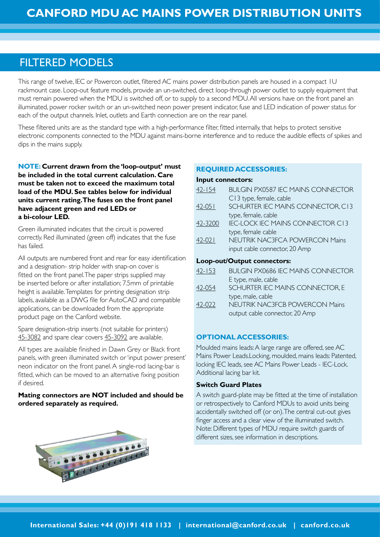# FILTERED MODELS

This range of twelve, IEC or Powercon outlet, filtered AC mains power distribution panels are housed in a compact 1U rackmount case. Loop-out feature models, provide an un-switched, direct loop-through power outlet to supply equipment that must remain powered when the MDU is switched off, or to supply to a second MDU. All versions have on the front panel an illuminated, power rocker switch or an un-switched neon power present indicator, fuse and LED indication of power status for each of the output channels. Inlet, outlets and Earth connection are on the rear panel.

These filtered units are as the standard type with a high-performance filter, fitted internally, that helps to protect sensitive electronic components connected to the MDU against mains-borne interference and to reduce the audible effects of spikes and dips in the mains supply.

**NOTE: Current drawn from the 'loop-output' must be included in the total current calculation. Care must be taken not to exceed the maximum total load of the MDU. See tables below for individual units current rating. The fuses on the front panel have adjacent green and red LEDs or a bi-colour LED.** 

Green illuminated indicates that the circuit is powered correctly. Red illuminated (green off) indicates that the fuse has failed.

All outputs are numbered front and rear for easy identification and a designation- strip holder with snap-on cover is fitted on the front panel. The paper strips supplied may be inserted before or after installation; 7.5mm of printable height is available. Templates for printing designation strip labels, available as a DWG file for AutoCAD and compatible applications, can be downloaded from the appropriate product page on the Canford website.

Spare designation-strip inserts (not suitable for printers) [45-3082](http://www.canford.co.uk/Products/45-3082) and spare clear covers [45-3092](http://www.canford.co.uk/Products/45-3092) are available.

All types are available finished in Dawn Grey or Black front panels, with green illuminated switch or 'input power present' neon indicator on the front panel. A single-rod lacing-bar is fitted, which can be moved to an alternative fixing position if desired.

# **Mating connectors are NOT included and should be ordered separately as required.**



# **REQUIRED ACCESSORIES:**

#### **Input connectors:**

| $42 - 154$                  | <b>BULGIN PX0587 IEC MAINS CONNECTOR</b>    |  |  |  |  |
|-----------------------------|---------------------------------------------|--|--|--|--|
|                             | C13 type, female, cable                     |  |  |  |  |
| $42 - 051$                  | SCHURTER IEC MAINS CONNECTOR, C13           |  |  |  |  |
|                             | type, female, cable                         |  |  |  |  |
| 42-3200                     | <b>IEC-LOCK IEC MAINS CONNECTOR C13</b>     |  |  |  |  |
|                             | type, female cable                          |  |  |  |  |
| $42 - 021$                  | <b>NEUTRIK NAC3FCA POWERCON Mains</b>       |  |  |  |  |
|                             | input cable connector, 20 Amp               |  |  |  |  |
| Loop-out/Output connectors: |                                             |  |  |  |  |
| $\sqrt{2}$ $\sqrt{2}$       | DU IL CIN LOVAZOZ IEC NANINIE CON INIECTO D |  |  |  |  |

| $42 - 153$ | <b>BULGIN PX0686 IEC MAINS CONNECTOR</b> |
|------------|------------------------------------------|
|            | E type, male, cable                      |
| 42-054     | SCHURTER IEC MAINS CONNECTOR, E          |
|            | type, male, cable                        |
| 42-022     | <b>NEUTRIK NAC3FCB POWERCON Mains</b>    |
|            | output cable connector, 20 Amp           |

#### **OPTIONAL ACCESSORIES:**

Moulded mains leads: A large range are offered, see AC Mains Power Leads.Locking, moulded, mains leads: Patented, locking IEC leads, see AC Mains Power Leads - IEC-Lock. Additional lacing bar kit.

#### **Switch Guard Plates**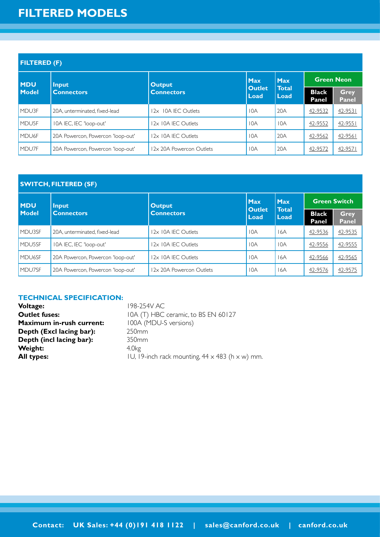# **FILTERED MODELS**

| <b>FILTERED (F)</b> |                                   |                          |                       |                                    |                       |                             |  |
|---------------------|-----------------------------------|--------------------------|-----------------------|------------------------------------|-----------------------|-----------------------------|--|
| <b>MDU</b>          | Input                             | <b>Output</b>            | <b>Max</b>            | <b>Max</b><br><b>Total</b><br>Load | <b>Green Neon</b>     |                             |  |
| <b>Model</b>        | <b>Connectors</b>                 | <b>Connectors</b>        | <b>Outlet</b><br>Load |                                    | <b>Black</b><br>Panel | <b>Grey</b><br><b>Panel</b> |  |
| MDU3F               | 20A, unterminated, fixed-lead     | 12x 10A IEC Outlets      | 10A                   | 20A                                | 42-9532               | $42 - 9531$                 |  |
| MDU <sub>5F</sub>   | 10A IEC, IEC 'loop-out'           | 12x 10A IEC Outlets      | 10A                   | 10A                                | 42-9552               | $42 - 9551$                 |  |
| MDU <sub>6F</sub>   | 20A Powercon, Powercon 'loop-out' | 12x 10A IEC Outlets      | 10A                   | 20A                                | 42-9562               | 42-9561                     |  |
| MDU7F               | 20A Powercon, Powercon 'loop-out' | 12x 20A Powercon Outlets | 10A                   | 20A                                | 42-9572               | $42 - 9571$                 |  |

| <b>SWITCH, FILTERED (SF)</b> |                                   |                          |                       |                                    |                       |                      |
|------------------------------|-----------------------------------|--------------------------|-----------------------|------------------------------------|-----------------------|----------------------|
| <b>MDU</b>                   | <b>Input</b>                      | <b>Output</b>            | <b>Max</b>            | <b>Max</b><br><b>Total</b><br>Load | <b>Green Switch</b>   |                      |
| <b>Model</b>                 | <b>Connectors</b>                 | <b>Connectors</b>        | <b>Outlet</b><br>Load |                                    | <b>Black</b><br>Panel | <b>Grey</b><br>Panel |
| MDU3SF                       | 20A, unterminated, fixed-lead     | 12x 10A IEC Outlets      | 10A                   | 16A                                | 42-9536               | 42-9535              |
| MDU5SF                       | 10A IEC, IEC 'loop-out'           | 12x 10A IEC Outlets      | 10A                   | 10A                                | 42-9556               | 42-9555              |
| MDU <sub>6</sub> SF          | 20A Powercon, Powercon 'loop-out' | 12x 10A IEC Outlets      | 10A                   | 16A                                | 42-9566               | 42-9565              |
| MDU7SF                       | 20A Powercon, Powercon 'loop-out' | 12x 20A Powercon Outlets | 10A                   | 16A                                | 42-9576               | 42-9575              |

# **TECHNICAL SPECIFICATION:**

| <b>Voltage:</b>                 |  |
|---------------------------------|--|
| <b>Outlet fuses:</b>            |  |
| <b>Maximum in-rush current:</b> |  |
| Depth (Excl lacing bar):        |  |
| Depth (incl lacing bar):        |  |
| Weight:                         |  |
| <b>All types:</b>               |  |

**Voltage:** 198-254V AC 10A (T) HBC ceramic, to BS EN 60127 100A (MDU-S versions) **Depth (Excl lacing bar):** 250mm **Depth (incl lacing bar):** 350mm **Weight:** 4.0kg **All types:** 1U, 19-inch rack mounting,  $44 \times 483$  (h  $\times$  w) mm.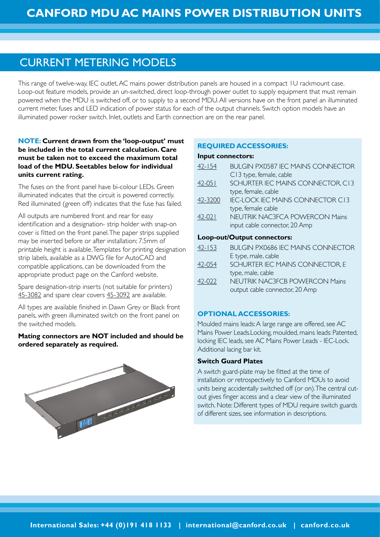# CURRENT METERING MODELS

This range of twelve-way, IEC outlet, AC mains power distribution panels are housed in a compact 1U rackmount case. Loop-out feature models, provide an un-switched, direct loop-through power outlet to supply equipment that must remain powered when the MDU is switched off, or to supply to a second MDU. All versions have on the front panel an illuminated current meter, fuses and LED indication of power status for each of the output channels. Switch option models have an illuminated power rocker switch. Inlet, outlets and Earth connection are on the rear panel.

# **NOTE: Current drawn from the 'loop-output' must be included in the total current calculation. Care must be taken not to exceed the maximum total load of the MDU. Seetables below for individual units current rating.**

The fuses on the front panel have bi-colour LEDs. Green illuminated indicates that the circuit is powered correctly. Red illuminated (green off) indicates that the fuse has failed.

All outputs are numbered front and rear for easy identification and a designation- strip holder with snap-on cover is fitted on the front panel. The paper strips supplied may be inserted before or after installation; 7.5mm of printable height is available. Templates for printing designation strip labels, available as a DWG file for AutoCAD and compatible applications, can be downloaded from the appropriate product page on the Canford website.

Spare designation-strip inserts (not suitable for printers) [45-3082](http://www.canford.co.uk/Products/45-3082) and spare clear covers [45-3092](http://www.canford.co.uk/Products/45-3092) are available.

All types are available finished in Dawn Grey or Black front panels, with green illuminated switch on the front panel on the switched models.

## **Mating connectors are NOT included and should be ordered separately as required.**



# **REQUIRED ACCESSORIES:**

#### **Input connectors:**

| $42 - 154$ | <b>BULGIN PX0587 IEC MAINS CONNECTOR</b> |
|------------|------------------------------------------|
|            | C13 type, female, cable                  |
| $42 - 051$ | SCHURTER IEC MAINS CONNECTOR, C13        |
|            | type, female, cable                      |
| 42-3200    | <b>IEC-LOCK IEC MAINS CONNECTOR C13</b>  |
|            | type, female cable                       |
| $42 - 021$ | <b>NEUTRIK NAC3FCA POWERCON Mains</b>    |
|            | input cable connector, 20 Amp            |
|            | Loop-out/Output connectors:              |
| $42 - 153$ | <b>BULGIN PX0686 IEC MAINS CONNECTOR</b> |
|            | E type, male, cable                      |
| 42-054     | SCHURTER IEC MAINS CONNECTOR, E          |
|            | type, male, cable                        |
| 42-022     | <b>NEUTRIK NAC3FCB POWERCON Mains</b>    |
|            | output cable connector, 20 Amp           |

# **OPTIONAL ACCESSORIES:**

Moulded mains leads: A large range are offered, see AC Mains Power Leads.Locking, moulded, mains leads: Patented, locking IEC leads, see AC Mains Power Leads - IEC-Lock. Additional lacing bar kit.

## **Switch Guard Plates**